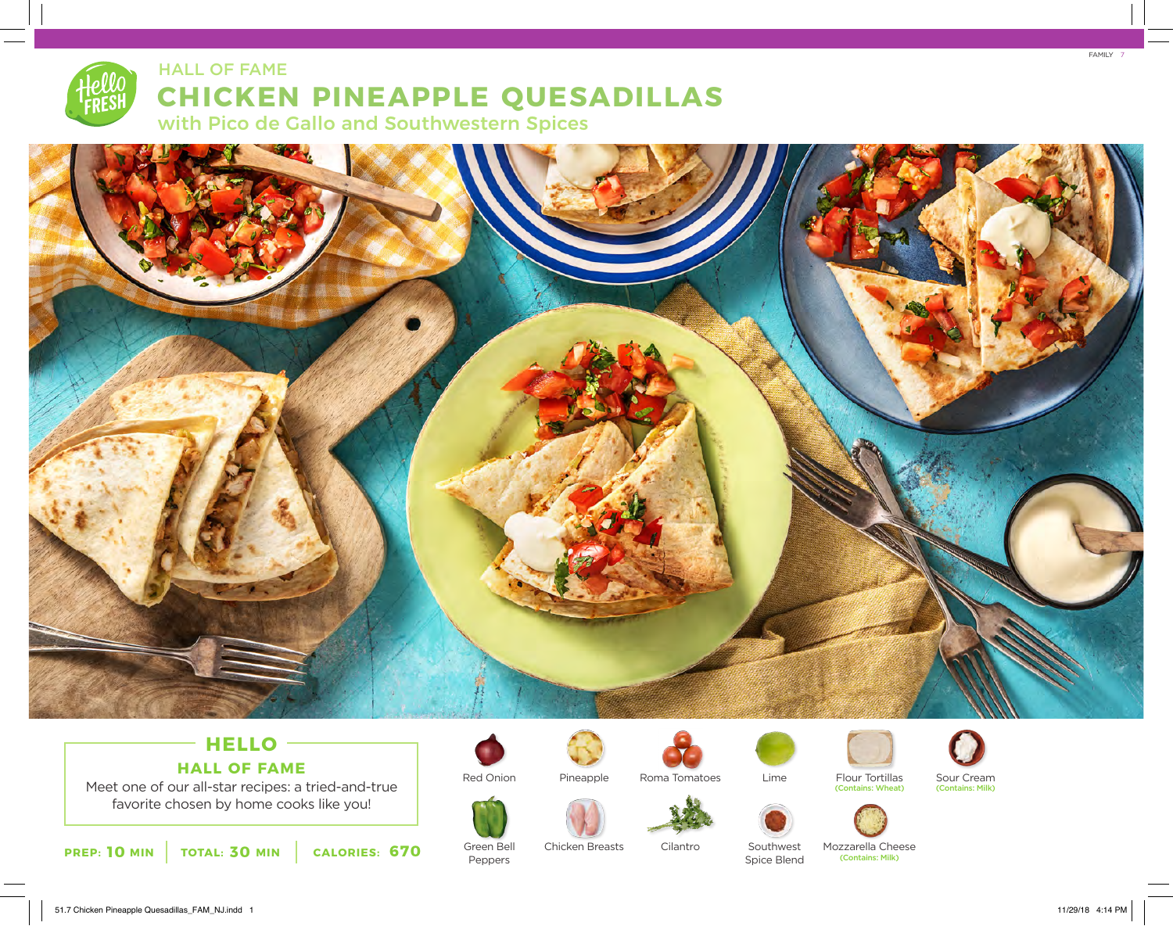# **CHICKEN PINEAPPLE QUESADILLAS** with Pico de Gallo and Southwestern Spices HALL OF FAME



## **HELLO HALL OF FAME**

Meet one of our all-star recipes: a tried-and-true favorite chosen by home cooks like you!





Green Bell Peppers

Pineapple



Roma Tomatoes



Flour Tortillas



Sour Cream<br>(Contains: Milk)







Spice Blend

Mozzarella Cheese (Contains: Milk)

(Contains: Wheat) (Contains: Milk)

7 FAMILY